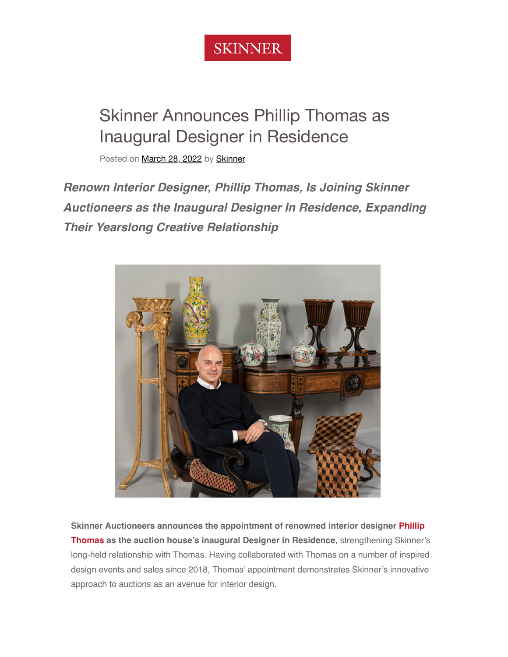

# Skinner Announces Phillip Thomas as Inaugural Designer in Residence

Posted on [March 28, 2022](https://www.skinnerinc.com/news/news/skinner-announces-phillip-thomas-as-inaugural-designer-in-residence/) by [Skinner](https://www.skinnerinc.com/news/author/skinnerinc/)

*Renown Interior Designer, Phillip Thomas, Is Joining Skinner Auctioneers as the Inaugural Designer In Residence, Expanding Their Yearslong Creative Relationship*



**[Skinner Auctioneers announces the appointment of renowned interior designer P](https://www.phillipthomasinc.com/)hillip Thomas as the auction house's inaugural Designer in Residence**, strengthening Skinner's long-held relationship with Thomas. Having collaborated with Thomas on a number of inspired design events and sales since 2018, Thomas' appointment demonstrates Skinner's innovative approach to auctions as an avenue for interior design.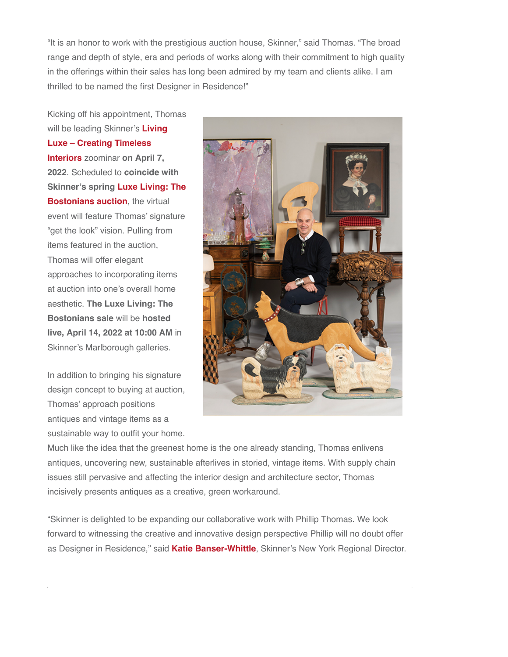"It is an honor to work with the prestigious auction house, Skinner," said Thomas. "The broad range and depth of style, era and periods of works along with their commitment to high quality in the offerings within their sales has long been admired by my team and clients alike. I am thrilled to be named the first Designer in Residence!"

Kicking off his appointment, Thomas will be leading Skinner's **Living [Luxe – Creating Timeless](https://www.skinnerinc.com/news/event/luxe-living-creating-timeless-interiors/) Interiors** zoominar **on April 7, 2022**. Scheduled to **coincide with [Skinner's spring Luxe Living: The](https://www.skinnerinc.com/auctions/4030M) Bostonians auction**, the virtual event will feature Thomas' signature "get the look" vision. Pulling from items featured in the auction, Thomas will offer elegant approaches to incorporating items at auction into one's overall home aesthetic. **The Luxe Living: The Bostonians sale** will be **hosted live, April 14, 2022 at 10:00 AM** in Skinner's Marlborough galleries.

In addition to bringing his signature design concept to buying at auction, Thomas' approach positions antiques and vintage items as a sustainable way to outfit your home.



Much like the idea that the greenest home is the one already standing, Thomas enlivens antiques, uncovering new, sustainable afterlives in storied, vintage items. With supply chain issues still pervasive and affecting the interior design and architecture sector, Thomas incisively presents antiques as a creative, green workaround.

"Skinner is delighted to be expanding our collaborative work with Phillip Thomas. We look forward to witnessing the creative and innovative design perspective Phillip will no doubt offer as Designer in Residence," said **[Katie Banser-Whittle](https://www.skinnerinc.com/about/specialists/katie-banser-whittle/)**, Skinner's New York Regional Director.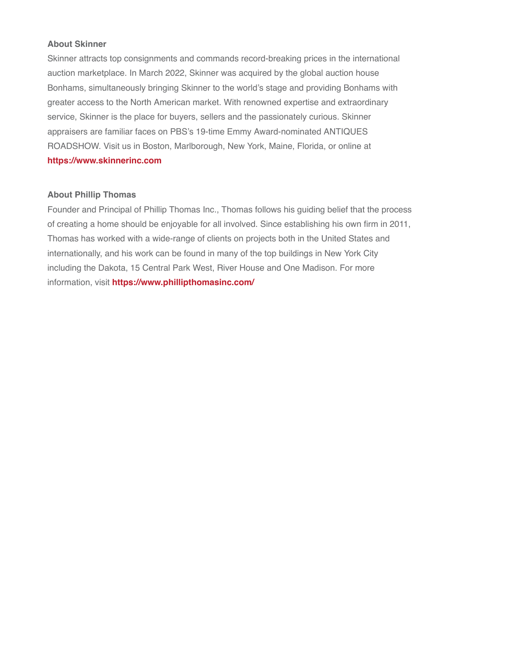### **About Skinner**

Skinner attracts top consignments and commands record-breaking prices in the international auction marketplace. In March 2022, Skinner was acquired by the global auction house Bonhams, simultaneously bringing Skinner to the world's stage and providing Bonhams with greater access to the North American market. With renowned expertise and extraordinary service, Skinner is the place for buyers, sellers and the passionately curious. Skinner appraisers are familiar faces on PBS's 19-time Emmy Award-nominated ANTIQUES ROADSHOW. Visit us in Boston, Marlborough, New York, Maine, Florida, or online at **[https://www.skinnerinc.com](https://www.skinnerinc.com/)**

### **About Phillip Thomas**

Founder and Principal of Phillip Thomas Inc., Thomas follows his guiding belief that the process of creating a home should be enjoyable for all involved. Since establishing his own firm in 2011, Thomas has worked with a wide-range of clients on projects both in the United States and internationally, and his work can be found in many of the top buildings in New York City including the Dakota, 15 Central Park West, River House and One Madison. For more information, visit **<https://www.phillipthomasinc.com/>**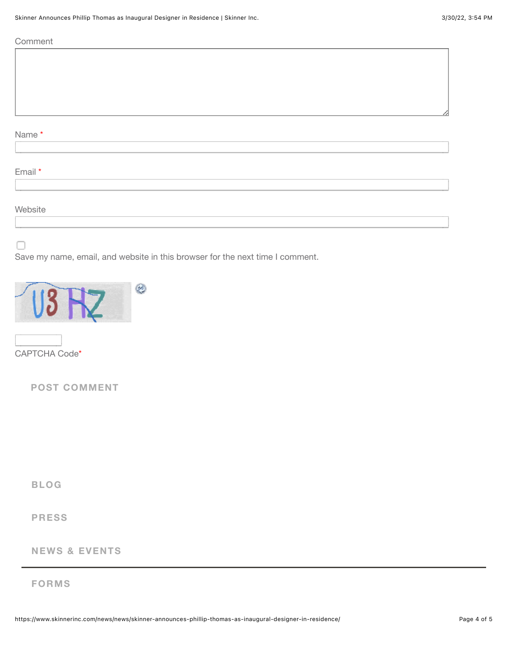**Comment** 

## Name \*

Email \*

### **Website**

Save my name, email, and website in this browser for the next time I comment.



CAPTCHA Code\*

**POST COMMENT**

**[BLOG](https://www.skinnerinc.com/news/)**

### **[PRESS](https://www.skinnerinc.com/about/press/)**

### **[NEWS & EVENTS](https://www.skinnerinc.com/about/events/)**

### **[FORMS](https://www.skinnerinc.com/connect/forms)**